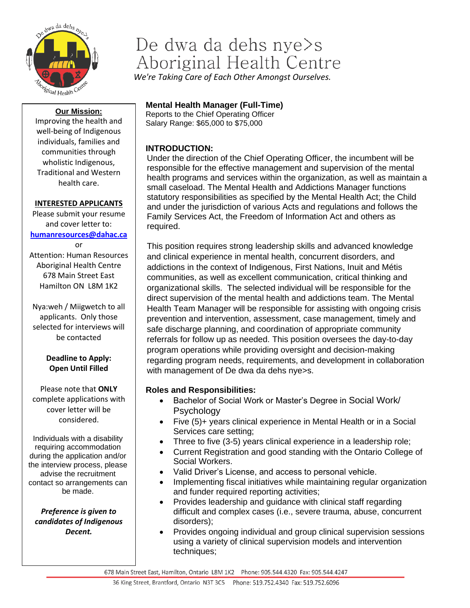

# De dwa da dehs nye>s Aboriginal Health Centre

*We're Taking Care of Each Other Amongst Ourselves.*

#### **Our Mission:**

Improving the health and well-being of Indigenous individuals, families and communities through wholistic Indigenous, Traditional and Western health care.

#### **INTERESTED APPLICANTS**

Please submit your resume and cover letter to: **[humanresources@dahac.ca](mailto:humanresources@dahac.ca)**

or Attention: Human Resources Aboriginal Health Centre 678 Main Street East Hamilton ON L8M 1K2

Nya:weh / Miigwetch to all applicants. Only those selected for interviews will be contacted

### **Deadline to Apply: Open Until Filled**

Please note that **ONLY** complete applications with cover letter will be considered.

Individuals with a disability requiring accommodation during the application and/or the interview process, please advise the recruitment contact so arrangements can be made.

*Preference is given to candidates of Indigenous Decent.*

# **Mental Health Manager (Full-Time)**

Reports to the Chief Operating Officer Salary Range: \$65,000 to \$75,000

# **INTRODUCTION:**

Under the direction of the Chief Operating Officer, the incumbent will be responsible for the effective management and supervision of the mental health programs and services within the organization, as well as maintain a small caseload. The Mental Health and Addictions Manager functions statutory responsibilities as specified by the Mental Health Act; the Child and under the jurisdiction of various Acts and regulations and follows the Family Services Act, the Freedom of Information Act and others as required.

This position requires strong leadership skills and advanced knowledge and clinical experience in mental health, concurrent disorders, and addictions in the context of Indigenous, First Nations, Inuit and Métis communities, as well as excellent communication, critical thinking and organizational skills. The selected individual will be responsible for the direct supervision of the mental health and addictions team. The Mental Health Team Manager will be responsible for assisting with ongoing crisis prevention and intervention, assessment, case management, timely and safe discharge planning, and coordination of appropriate community referrals for follow up as needed. This position oversees the day-to-day program operations while providing oversight and decision-making regarding program needs, requirements, and development in collaboration with management of De dwa da dehs nye>s.

# **Roles and Responsibilities:**

- Bachelor of Social Work or Master's Degree in Social Work/ Psychology
- Five (5)+ years clinical experience in Mental Health or in a Social Services care setting;
- Three to five (3-5) years clinical experience in a leadership role;
- Current Registration and good standing with the Ontario College of Social Workers.
- Valid Driver's License, and access to personal vehicle.
- Implementing fiscal initiatives while maintaining regular organization and funder required reporting activities;
- Provides leadership and guidance with clinical staff regarding difficult and complex cases (i.e., severe trauma, abuse, concurrent disorders);
- Provides ongoing individual and group clinical supervision sessions using a variety of clinical supervision models and intervention techniques;